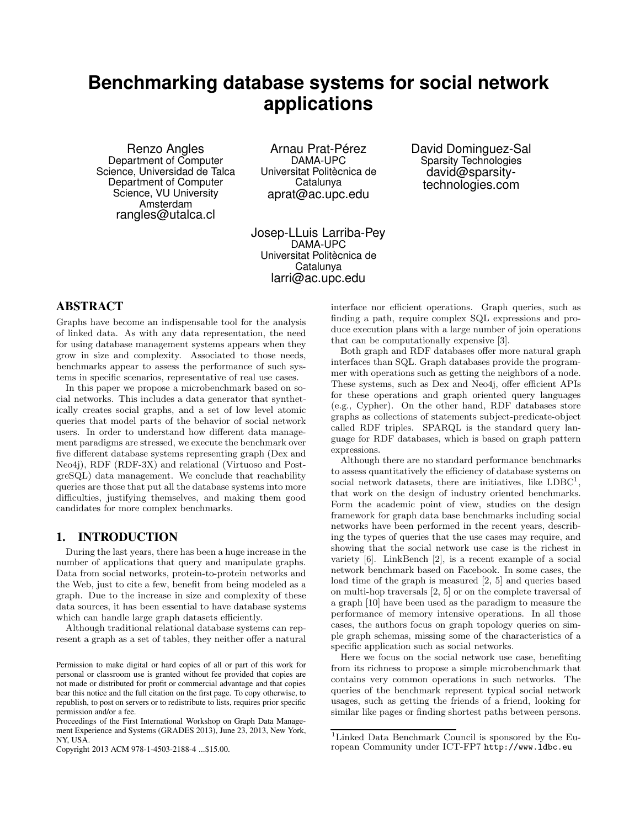# **Benchmarking database systems for social network applications**

Renzo Angles Department of Computer Science, Universidad de Talca Department of Computer Science, VU University Amsterdam rangles@utalca.cl

Arnau Prat-Pérez DAMA-UPC Universitat Politècnica de Catalunya aprat@ac.upc.edu

David Dominguez-Sal Sparsity Technologies david@sparsitytechnologies.com

Josep-LLuis Larriba-Pey DAMA-UPC Universitat Politècnica de Catalunya larri@ac.upc.edu

## ABSTRACT

Graphs have become an indispensable tool for the analysis of linked data. As with any data representation, the need for using database management systems appears when they grow in size and complexity. Associated to those needs, benchmarks appear to assess the performance of such systems in specific scenarios, representative of real use cases.

In this paper we propose a microbenchmark based on social networks. This includes a data generator that synthetically creates social graphs, and a set of low level atomic queries that model parts of the behavior of social network users. In order to understand how different data management paradigms are stressed, we execute the benchmark over five different database systems representing graph (Dex and Neo4j), RDF (RDF-3X) and relational (Virtuoso and PostgreSQL) data management. We conclude that reachability queries are those that put all the database systems into more difficulties, justifying themselves, and making them good candidates for more complex benchmarks.

## 1. INTRODUCTION

During the last years, there has been a huge increase in the number of applications that query and manipulate graphs. Data from social networks, protein-to-protein networks and the Web, just to cite a few, benefit from being modeled as a graph. Due to the increase in size and complexity of these data sources, it has been essential to have database systems which can handle large graph datasets efficiently.

Although traditional relational database systems can represent a graph as a set of tables, they neither offer a natural

Copyright 2013 ACM 978-1-4503-2188-4 ...\$15.00.

interface nor efficient operations. Graph queries, such as finding a path, require complex SQL expressions and produce execution plans with a large number of join operations that can be computationally expensive [3].

Both graph and RDF databases offer more natural graph interfaces than SQL. Graph databases provide the programmer with operations such as getting the neighbors of a node. These systems, such as Dex and Neo4j, offer efficient APIs for these operations and graph oriented query languages (e.g., Cypher). On the other hand, RDF databases store graphs as collections of statements subject-predicate-object called RDF triples. SPARQL is the standard query language for RDF databases, which is based on graph pattern expressions.

Although there are no standard performance benchmarks to assess quantitatively the efficiency of database systems on social network datasets, there are initiatives, like  $LDBC<sup>1</sup>$ , that work on the design of industry oriented benchmarks. Form the academic point of view, studies on the design framework for graph data base benchmarks including social networks have been performed in the recent years, describing the types of queries that the use cases may require, and showing that the social network use case is the richest in variety [6]. LinkBench [2], is a recent example of a social network benchmark based on Facebook. In some cases, the load time of the graph is measured [2, 5] and queries based on multi-hop traversals [2, 5] or on the complete traversal of a graph [10] have been used as the paradigm to measure the performance of memory intensive operations. In all those cases, the authors focus on graph topology queries on simple graph schemas, missing some of the characteristics of a specific application such as social networks.

Here we focus on the social network use case, benefiting from its richness to propose a simple microbenchmark that contains very common operations in such networks. The queries of the benchmark represent typical social network usages, such as getting the friends of a friend, looking for similar like pages or finding shortest paths between persons.

Permission to make digital or hard copies of all or part of this work for personal or classroom use is granted without fee provided that copies are not made or distributed for profit or commercial advantage and that copies bear this notice and the full citation on the first page. To copy otherwise, to republish, to post on servers or to redistribute to lists, requires prior specific permission and/or a fee.

Proceedings of the First International Workshop on Graph Data Management Experience and Systems (GRADES 2013), June 23, 2013, New York, NY, USA.

<sup>1</sup>Linked Data Benchmark Council is sponsored by the European Community under ICT-FP7 http://www.ldbc.eu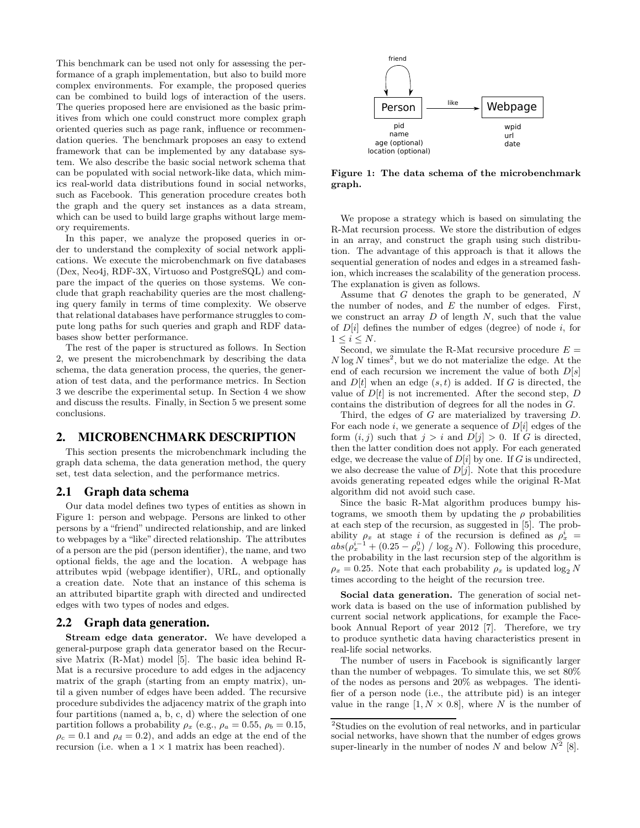This benchmark can be used not only for assessing the performance of a graph implementation, but also to build more complex environments. For example, the proposed queries can be combined to build logs of interaction of the users. The queries proposed here are envisioned as the basic primitives from which one could construct more complex graph oriented queries such as page rank, influence or recommendation queries. The benchmark proposes an easy to extend framework that can be implemented by any database system. We also describe the basic social network schema that can be populated with social network-like data, which mimics real-world data distributions found in social networks, such as Facebook. This generation procedure creates both the graph and the query set instances as a data stream, which can be used to build large graphs without large memory requirements.

In this paper, we analyze the proposed queries in order to understand the complexity of social network applications. We execute the microbenchmark on five databases (Dex, Neo4j, RDF-3X, Virtuoso and PostgreSQL) and compare the impact of the queries on those systems. We conclude that graph reachability queries are the most challenging query family in terms of time complexity. We observe that relational databases have performance struggles to compute long paths for such queries and graph and RDF databases show better performance.

The rest of the paper is structured as follows. In Section 2, we present the microbenchmark by describing the data schema, the data generation process, the queries, the generation of test data, and the performance metrics. In Section 3 we describe the experimental setup. In Section 4 we show and discuss the results. Finally, in Section 5 we present some conclusions.

#### 2. MICROBENCHMARK DESCRIPTION

This section presents the microbenchmark including the graph data schema, the data generation method, the query set, test data selection, and the performance metrics.

#### 2.1 Graph data schema

Our data model defines two types of entities as shown in Figure 1: person and webpage. Persons are linked to other persons by a "friend" undirected relationship, and are linked to webpages by a "like" directed relationship. The attributes of a person are the pid (person identifier), the name, and two optional fields, the age and the location. A webpage has attributes wpid (webpage identifier), URL, and optionally a creation date. Note that an instance of this schema is an attributed bipartite graph with directed and undirected edges with two types of nodes and edges.

#### 2.2 Graph data generation.

Stream edge data generator. We have developed a general-purpose graph data generator based on the Recursive Matrix (R-Mat) model [5]. The basic idea behind R-Mat is a recursive procedure to add edges in the adjacency matrix of the graph (starting from an empty matrix), until a given number of edges have been added. The recursive procedure subdivides the adjacency matrix of the graph into four partitions (named a, b, c, d) where the selection of one partition follows a probability  $\rho_x$  (e.g.,  $\rho_a = 0.55$ ,  $\rho_b = 0.15$ ,  $\rho_c = 0.1$  and  $\rho_d = 0.2$ , and adds an edge at the end of the recursion (i.e. when a  $1 \times 1$  matrix has been reached).



Figure 1: The data schema of the microbenchmark graph.

We propose a strategy which is based on simulating the R-Mat recursion process. We store the distribution of edges in an array, and construct the graph using such distribution. The advantage of this approach is that it allows the sequential generation of nodes and edges in a streamed fashion, which increases the scalability of the generation process. The explanation is given as follows.

Assume that G denotes the graph to be generated, N the number of nodes, and  $E$  the number of edges. First, we construct an array  $D$  of length  $N$ , such that the value of  $D[i]$  defines the number of edges (degree) of node i, for  $1 \leq i \leq N$ .

Second, we simulate the R-Mat recursive procedure  $E =$  $N \log N$  times<sup>2</sup>, but we do not materialize the edge. At the end of each recursion we increment the value of both  $D[s]$ and  $D[t]$  when an edge  $(s, t)$  is added. If G is directed, the value of  $D[t]$  is not incremented. After the second step, D contains the distribution of degrees for all the nodes in G.

Third, the edges of G are materialized by traversing D. For each node i, we generate a sequence of  $D[i]$  edges of the form  $(i, j)$  such that  $j > i$  and  $D[j] > 0$ . If G is directed, then the latter condition does not apply. For each generated edge, we decrease the value of  $D[i]$  by one. If G is undirected, we also decrease the value of  $D[j]$ . Note that this procedure avoids generating repeated edges while the original R-Mat algorithm did not avoid such case.

Since the basic R-Mat algorithm produces bumpy histograms, we smooth them by updating the  $\rho$  probabilities at each step of the recursion, as suggested in [5]. The probability  $\rho_x$  at stage i of the recursion is defined as  $\rho_x^i$  =  $abs(\rho_x^{i-1} + (0.25 - \rho_x^0) / log_2 N)$ . Following this procedure, the probability in the last recursion step of the algorithm is  $\rho_x = 0.25$ . Note that each probability  $\rho_x$  is updated log<sub>2</sub> N times according to the height of the recursion tree.

Social data generation. The generation of social network data is based on the use of information published by current social network applications, for example the Facebook Annual Report of year 2012 [7]. Therefore, we try to produce synthetic data having characteristics present in real-life social networks.

The number of users in Facebook is significantly larger than the number of webpages. To simulate this, we set 80% of the nodes as persons and 20% as webpages. The identifier of a person node (i.e., the attribute pid) is an integer value in the range  $[1, N \times 0.8]$ , where N is the number of

<sup>2</sup> Studies on the evolution of real networks, and in particular social networks, have shown that the number of edges grows super-linearly in the number of nodes N and below  $N^2$  [8].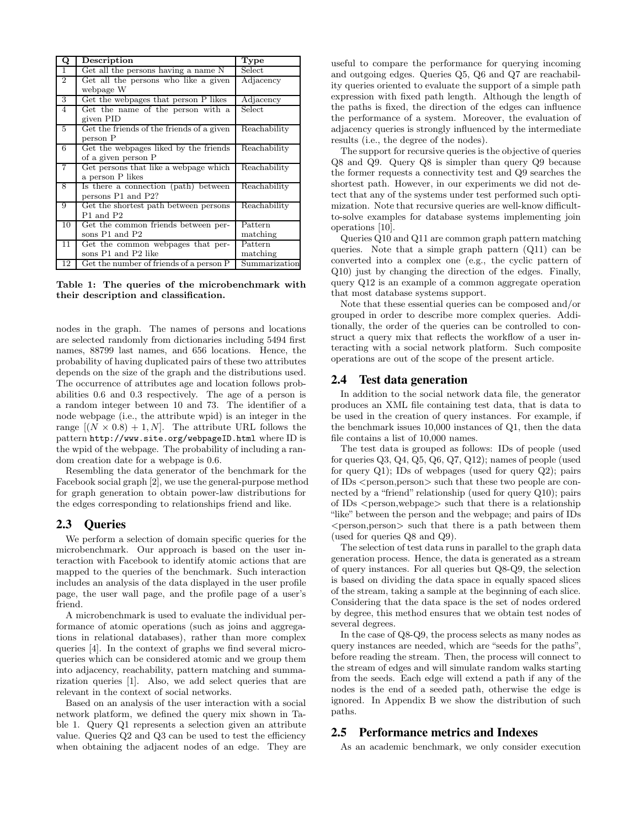| $\mathbf Q$     | Description                               | Type          |
|-----------------|-------------------------------------------|---------------|
| $\overline{1}$  | Get all the persons having a name N       | Select        |
| $\overline{2}$  | Get all the persons who like a given      | Adjacency     |
|                 | webpage W                                 |               |
| 3               | Get the webpages that person P likes      | Adjacency     |
| $\overline{4}$  | Get the name of the person with a         | Select        |
|                 | given PID                                 |               |
| 5               | Get the friends of the friends of a given | Reachability  |
|                 | person P                                  |               |
| 6               | Get the webpages liked by the friends     | Reachability  |
|                 | of a given person P                       |               |
| $\overline{7}$  | Get persons that like a webpage which     | Reachability  |
|                 | a person P likes                          |               |
| 8               | Is there a connection (path) between      | Reachability  |
|                 | persons P1 and P2?                        |               |
| 9               | Get the shortest path between persons     | Reachability  |
|                 | P1 and P2                                 |               |
| 10              | Get the common friends between per-       | Pattern       |
|                 | sons P1 and P2                            | matching      |
| $\overline{11}$ | Get the common webpages that per-         | Pattern       |
|                 | sons P1 and P2 like                       | matching      |
| 12              | Get the number of friends of a person P   | Summarization |

Table 1: The queries of the microbenchmark with their description and classification.

nodes in the graph. The names of persons and locations are selected randomly from dictionaries including 5494 first names, 88799 last names, and 656 locations. Hence, the probability of having duplicated pairs of these two attributes depends on the size of the graph and the distributions used. The occurrence of attributes age and location follows probabilities 0.6 and 0.3 respectively. The age of a person is a random integer between 10 and 73. The identifier of a node webpage (i.e., the attribute wpid) is an integer in the range  $[(N \times 0.8) + 1, N]$ . The attribute URL follows the pattern http://www.site.org/webpageID.html where ID is the wpid of the webpage. The probability of including a random creation date for a webpage is 0.6.

Resembling the data generator of the benchmark for the Facebook social graph [2], we use the general-purpose method for graph generation to obtain power-law distributions for the edges corresponding to relationships friend and like.

#### 2.3 Queries

We perform a selection of domain specific queries for the microbenchmark. Our approach is based on the user interaction with Facebook to identify atomic actions that are mapped to the queries of the benchmark. Such interaction includes an analysis of the data displayed in the user profile page, the user wall page, and the profile page of a user's friend.

A microbenchmark is used to evaluate the individual performance of atomic operations (such as joins and aggregations in relational databases), rather than more complex queries [4]. In the context of graphs we find several microqueries which can be considered atomic and we group them into adjacency, reachability, pattern matching and summarization queries [1]. Also, we add select queries that are relevant in the context of social networks.

Based on an analysis of the user interaction with a social network platform, we defined the query mix shown in Table 1. Query Q1 represents a selection given an attribute value. Queries Q2 and Q3 can be used to test the efficiency when obtaining the adjacent nodes of an edge. They are

useful to compare the performance for querying incoming and outgoing edges. Queries Q5, Q6 and Q7 are reachability queries oriented to evaluate the support of a simple path expression with fixed path length. Although the length of the paths is fixed, the direction of the edges can influence the performance of a system. Moreover, the evaluation of adjacency queries is strongly influenced by the intermediate results (i.e., the degree of the nodes).

The support for recursive queries is the objective of queries Q8 and Q9. Query Q8 is simpler than query Q9 because the former requests a connectivity test and Q9 searches the shortest path. However, in our experiments we did not detect that any of the systems under test performed such optimization. Note that recursive queries are well-know difficultto-solve examples for database systems implementing join operations [10].

Queries Q10 and Q11 are common graph pattern matching queries. Note that a simple graph pattern (Q11) can be converted into a complex one (e.g., the cyclic pattern of Q10) just by changing the direction of the edges. Finally, query Q12 is an example of a common aggregate operation that most database systems support.

Note that these essential queries can be composed and/or grouped in order to describe more complex queries. Additionally, the order of the queries can be controlled to construct a query mix that reflects the workflow of a user interacting with a social network platform. Such composite operations are out of the scope of the present article.

## 2.4 Test data generation

In addition to the social network data file, the generator produces an XML file containing test data, that is data to be used in the creation of query instances. For example, if the benchmark issues 10,000 instances of Q1, then the data file contains a list of 10,000 names.

The test data is grouped as follows: IDs of people (used for queries Q3, Q4, Q5, Q6, Q7, Q12); names of people (used for query  $Q1$ ); IDs of webpages (used for query  $Q2$ ); pairs of IDs  $\langle$  person,person $\rangle$  such that these two people are connected by a "friend" relationship (used for query Q10); pairs of IDs  $\leq$  person,webpage $>$  such that there is a relationship "like" between the person and the webpage; and pairs of IDs  $\langle$  person, person $\rangle$  such that there is a path between them (used for queries Q8 and Q9).

The selection of test data runs in parallel to the graph data generation process. Hence, the data is generated as a stream of query instances. For all queries but Q8-Q9, the selection is based on dividing the data space in equally spaced slices of the stream, taking a sample at the beginning of each slice. Considering that the data space is the set of nodes ordered by degree, this method ensures that we obtain test nodes of several degrees.

In the case of Q8-Q9, the process selects as many nodes as query instances are needed, which are "seeds for the paths", before reading the stream. Then, the process will connect to the stream of edges and will simulate random walks starting from the seeds. Each edge will extend a path if any of the nodes is the end of a seeded path, otherwise the edge is ignored. In Appendix B we show the distribution of such paths.

## 2.5 Performance metrics and Indexes

As an academic benchmark, we only consider execution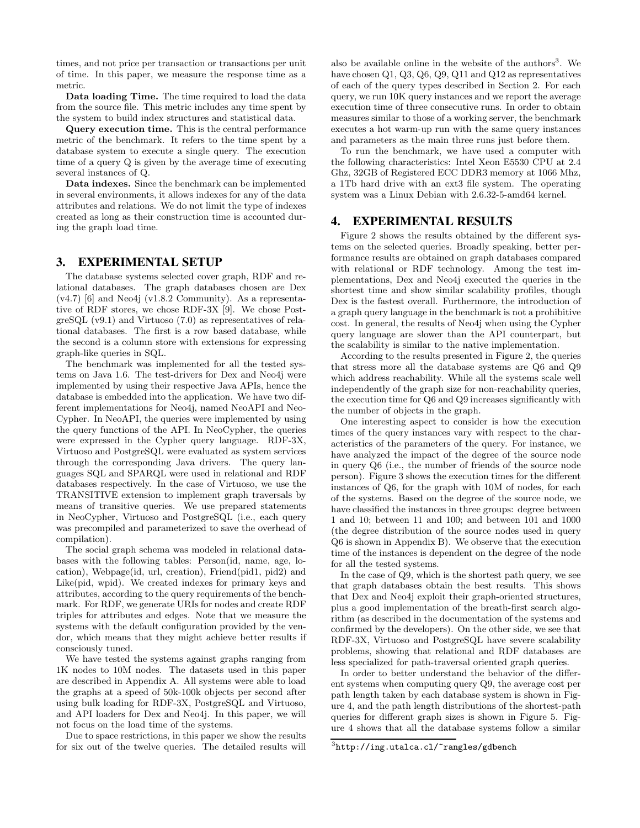times, and not price per transaction or transactions per unit of time. In this paper, we measure the response time as a metric.

Data loading Time. The time required to load the data from the source file. This metric includes any time spent by the system to build index structures and statistical data.

Query execution time. This is the central performance metric of the benchmark. It refers to the time spent by a database system to execute a single query. The execution time of a query Q is given by the average time of executing several instances of Q.

Data indexes. Since the benchmark can be implemented in several environments, it allows indexes for any of the data attributes and relations. We do not limit the type of indexes created as long as their construction time is accounted during the graph load time.

#### 3. EXPERIMENTAL SETUP

The database systems selected cover graph, RDF and relational databases. The graph databases chosen are Dex  $(v4.7)$  [6] and Neo4j  $(v1.8.2$  Community). As a representative of RDF stores, we chose RDF-3X [9]. We chose PostgreSQL (v9.1) and Virtuoso (7.0) as representatives of relational databases. The first is a row based database, while the second is a column store with extensions for expressing graph-like queries in SQL.

The benchmark was implemented for all the tested systems on Java 1.6. The test-drivers for Dex and Neo4j were implemented by using their respective Java APIs, hence the database is embedded into the application. We have two different implementations for Neo4j, named NeoAPI and Neo-Cypher. In NeoAPI, the queries were implemented by using the query functions of the API. In NeoCypher, the queries were expressed in the Cypher query language. RDF-3X, Virtuoso and PostgreSQL were evaluated as system services through the corresponding Java drivers. The query languages SQL and SPARQL were used in relational and RDF databases respectively. In the case of Virtuoso, we use the TRANSITIVE extension to implement graph traversals by means of transitive queries. We use prepared statements in NeoCypher, Virtuoso and PostgreSQL (i.e., each query was precompiled and parameterized to save the overhead of compilation).

The social graph schema was modeled in relational databases with the following tables: Person(id, name, age, location), Webpage(id, url, creation), Friend(pid1, pid2) and Like(pid, wpid). We created indexes for primary keys and attributes, according to the query requirements of the benchmark. For RDF, we generate URIs for nodes and create RDF triples for attributes and edges. Note that we measure the systems with the default configuration provided by the vendor, which means that they might achieve better results if consciously tuned.

We have tested the systems against graphs ranging from 1K nodes to 10M nodes. The datasets used in this paper are described in Appendix A. All systems were able to load the graphs at a speed of 50k-100k objects per second after using bulk loading for RDF-3X, PostgreSQL and Virtuoso, and API loaders for Dex and Neo4j. In this paper, we will not focus on the load time of the systems.

Due to space restrictions, in this paper we show the results for six out of the twelve queries. The detailed results will

also be available online in the website of the authors<sup>3</sup>. We have chosen Q1, Q3, Q6, Q9, Q11 and Q12 as representatives of each of the query types described in Section 2. For each query, we run 10K query instances and we report the average execution time of three consecutive runs. In order to obtain measures similar to those of a working server, the benchmark executes a hot warm-up run with the same query instances and parameters as the main three runs just before them.

To run the benchmark, we have used a computer with the following characteristics: Intel Xeon E5530 CPU at 2.4 Ghz, 32GB of Registered ECC DDR3 memory at 1066 Mhz, a 1Tb hard drive with an ext3 file system. The operating system was a Linux Debian with 2.6.32-5-amd64 kernel.

#### 4. EXPERIMENTAL RESULTS

Figure 2 shows the results obtained by the different systems on the selected queries. Broadly speaking, better performance results are obtained on graph databases compared with relational or RDF technology. Among the test implementations, Dex and Neo4j executed the queries in the shortest time and show similar scalability profiles, though Dex is the fastest overall. Furthermore, the introduction of a graph query language in the benchmark is not a prohibitive cost. In general, the results of Neo4j when using the Cypher query language are slower than the API counterpart, but the scalability is similar to the native implementation.

According to the results presented in Figure 2, the queries that stress more all the database systems are Q6 and Q9 which address reachability. While all the systems scale well independently of the graph size for non-reachability queries, the execution time for Q6 and Q9 increases significantly with the number of objects in the graph.

One interesting aspect to consider is how the execution times of the query instances vary with respect to the characteristics of the parameters of the query. For instance, we have analyzed the impact of the degree of the source node in query Q6 (i.e., the number of friends of the source node person). Figure 3 shows the execution times for the different instances of Q6, for the graph with 10M of nodes, for each of the systems. Based on the degree of the source node, we have classified the instances in three groups: degree between 1 and 10; between 11 and 100; and between 101 and 1000 (the degree distribution of the source nodes used in query Q6 is shown in Appendix B). We observe that the execution time of the instances is dependent on the degree of the node for all the tested systems.

In the case of Q9, which is the shortest path query, we see that graph databases obtain the best results. This shows that Dex and Neo4j exploit their graph-oriented structures, plus a good implementation of the breath-first search algorithm (as described in the documentation of the systems and confirmed by the developers). On the other side, we see that RDF-3X, Virtuoso and PostgreSQL have severe scalability problems, showing that relational and RDF databases are less specialized for path-traversal oriented graph queries.

In order to better understand the behavior of the different systems when computing query Q9, the average cost per path length taken by each database system is shown in Figure 4, and the path length distributions of the shortest-path queries for different graph sizes is shown in Figure 5. Figure 4 shows that all the database systems follow a similar

 ${}^{3}$ http://ing.utalca.cl/~rangles/gdbench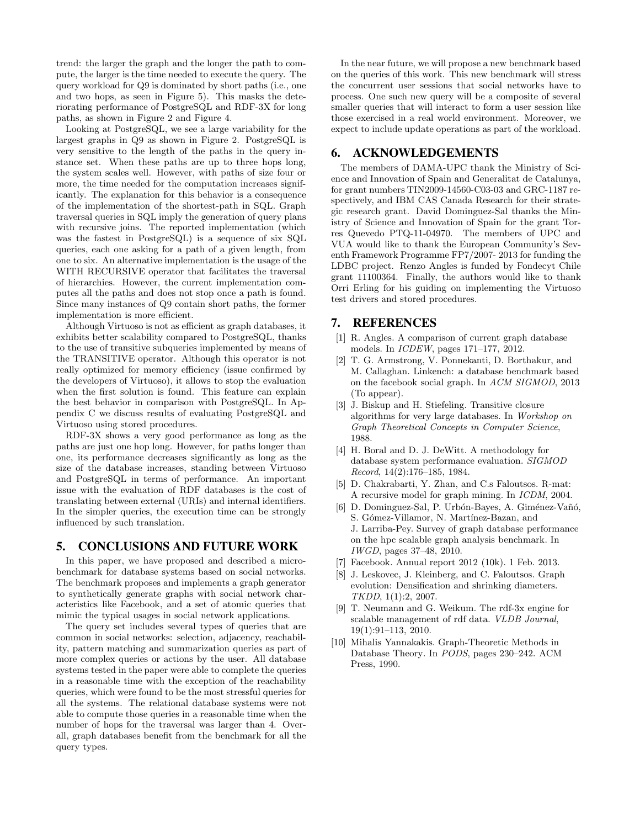trend: the larger the graph and the longer the path to compute, the larger is the time needed to execute the query. The query workload for Q9 is dominated by short paths (i.e., one and two hops, as seen in Figure 5). This masks the deteriorating performance of PostgreSQL and RDF-3X for long paths, as shown in Figure 2 and Figure 4.

Looking at PostgreSQL, we see a large variability for the largest graphs in Q9 as shown in Figure 2. PostgreSQL is very sensitive to the length of the paths in the query instance set. When these paths are up to three hops long, the system scales well. However, with paths of size four or more, the time needed for the computation increases significantly. The explanation for this behavior is a consequence of the implementation of the shortest-path in SQL. Graph traversal queries in SQL imply the generation of query plans with recursive joins. The reported implementation (which was the fastest in PostgreSQL) is a sequence of six SQL queries, each one asking for a path of a given length, from one to six. An alternative implementation is the usage of the WITH RECURSIVE operator that facilitates the traversal of hierarchies. However, the current implementation computes all the paths and does not stop once a path is found. Since many instances of Q9 contain short paths, the former implementation is more efficient.

Although Virtuoso is not as efficient as graph databases, it exhibits better scalability compared to PostgreSQL, thanks to the use of transitive subqueries implemented by means of the TRANSITIVE operator. Although this operator is not really optimized for memory efficiency (issue confirmed by the developers of Virtuoso), it allows to stop the evaluation when the first solution is found. This feature can explain the best behavior in comparison with PostgreSQL. In Appendix C we discuss results of evaluating PostgreSQL and Virtuoso using stored procedures.

RDF-3X shows a very good performance as long as the paths are just one hop long. However, for paths longer than one, its performance decreases significantly as long as the size of the database increases, standing between Virtuoso and PostgreSQL in terms of performance. An important issue with the evaluation of RDF databases is the cost of translating between external (URIs) and internal identifiers. In the simpler queries, the execution time can be strongly influenced by such translation.

## 5. CONCLUSIONS AND FUTURE WORK

In this paper, we have proposed and described a microbenchmark for database systems based on social networks. The benchmark proposes and implements a graph generator to synthetically generate graphs with social network characteristics like Facebook, and a set of atomic queries that mimic the typical usages in social network applications.

The query set includes several types of queries that are common in social networks: selection, adjacency, reachability, pattern matching and summarization queries as part of more complex queries or actions by the user. All database systems tested in the paper were able to complete the queries in a reasonable time with the exception of the reachability queries, which were found to be the most stressful queries for all the systems. The relational database systems were not able to compute those queries in a reasonable time when the number of hops for the traversal was larger than 4. Overall, graph databases benefit from the benchmark for all the query types.

In the near future, we will propose a new benchmark based on the queries of this work. This new benchmark will stress the concurrent user sessions that social networks have to process. One such new query will be a composite of several smaller queries that will interact to form a user session like those exercised in a real world environment. Moreover, we expect to include update operations as part of the workload.

#### 6. ACKNOWLEDGEMENTS

The members of DAMA-UPC thank the Ministry of Science and Innovation of Spain and Generalitat de Catalunya, for grant numbers TIN2009-14560-C03-03 and GRC-1187 respectively, and IBM CAS Canada Research for their strategic research grant. David Dominguez-Sal thanks the Ministry of Science and Innovation of Spain for the grant Torres Quevedo PTQ-11-04970. The members of UPC and VUA would like to thank the European Community's Seventh Framework Programme FP7/2007- 2013 for funding the LDBC project. Renzo Angles is funded by Fondecyt Chile grant 11100364. Finally, the authors would like to thank Orri Erling for his guiding on implementing the Virtuoso test drivers and stored procedures.

#### 7. REFERENCES

- [1] R. Angles. A comparison of current graph database models. In ICDEW, pages 171–177, 2012.
- [2] T. G. Armstrong, V. Ponnekanti, D. Borthakur, and M. Callaghan. Linkench: a database benchmark based on the facebook social graph. In ACM SIGMOD, 2013 (To appear).
- [3] J. Biskup and H. Stiefeling. Transitive closure algorithms for very large databases. In Workshop on Graph Theoretical Concepts in Computer Science, 1988.
- [4] H. Boral and D. J. DeWitt. A methodology for database system performance evaluation. SIGMOD Record, 14(2):176–185, 1984.
- [5] D. Chakrabarti, Y. Zhan, and C.s Faloutsos. R-mat: A recursive model for graph mining. In ICDM, 2004.
- [6] D. Dominguez-Sal, P. Urbón-Bayes, A. Giménez-Vañó, S. Gómez-Villamor, N. Martínez-Bazan, and J. Larriba-Pey. Survey of graph database performance on the hpc scalable graph analysis benchmark. In IWGD, pages 37–48, 2010.
- [7] Facebook. Annual report 2012 (10k). 1 Feb. 2013.
- [8] J. Leskovec, J. Kleinberg, and C. Faloutsos. Graph evolution: Densification and shrinking diameters. TKDD, 1(1):2, 2007.
- [9] T. Neumann and G. Weikum. The rdf-3x engine for scalable management of rdf data. VLDB Journal, 19(1):91–113, 2010.
- [10] Mihalis Yannakakis. Graph-Theoretic Methods in Database Theory. In PODS, pages 230–242. ACM Press, 1990.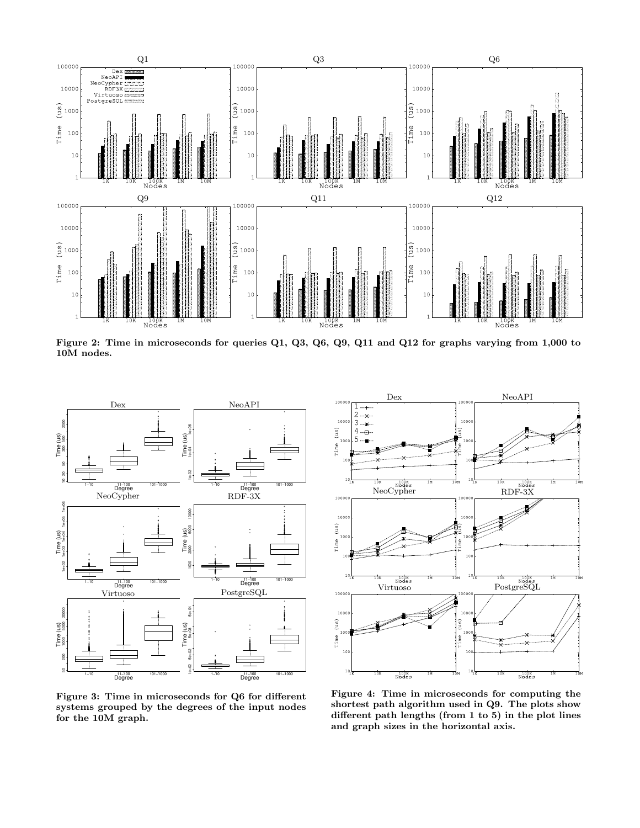

Figure 2: Time in microseconds for queries Q1, Q3, Q6, Q9, Q11 and Q12 for graphs varying from 1,000 to 10M nodes.

 $\bar{1}$ 

 $\frac{100K}{Nodes}$ 



100  $(uss)$ m. Time NeoCypher 100 10000 RDF-3X 10000  $1000$ (us) Time  $10$  $\bar{1}$  $\frac{100K}{N \text{odes}}$  in it  $\frac{10K}{N \text{odes}}$  is  $\frac{100K}{N \text{odes}}$ <br>Virtuoso  $\frac{100K}{N \text{odes}}$  $10000$  $100$  $\overline{10}$  $(us)$ (us)  $\tt Time$  $\frac{1}{2}$ 

Dex NeoAPI

Figure 3: Time in microseconds for Q6 for different systems grouped by the degrees of the input nodes for the 10M graph.

Figure 4: Time in microseconds for computing the shortest path algorithm used in Q9. The plots show different path lengths (from 1 to 5) in the plot lines and graph sizes in the horizontal axis.

 $\frac{100K}{Nodes}$